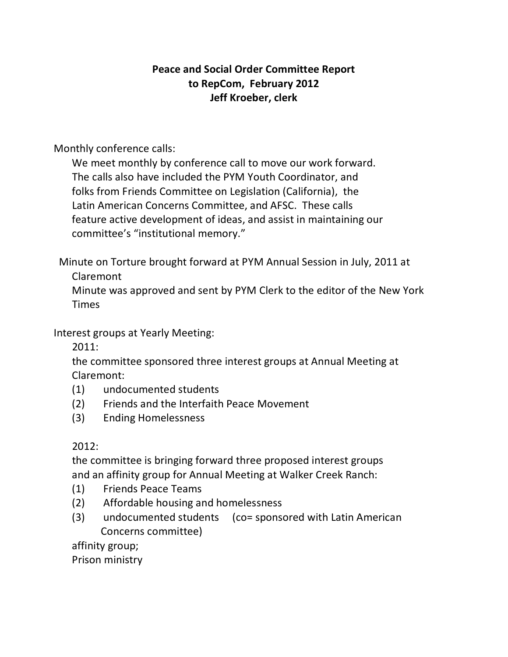## **Peace and Social Order Committee Report** to RepCom, February 2012 **Jeff Kroeber, clerk**

Monthly conference calls:

We meet monthly by conference call to move our work forward. The calls also have included the PYM Youth Coordinator, and folks from Friends Committee on Legislation (California), the Latin American Concerns Committee, and AFSC. These calls feature active development of ideas, and assist in maintaining our committee's "institutional memory."

Minute on Torture brought forward at PYM Annual Session in July, 2011 at Claremont

Minute was approved and sent by PYM Clerk to the editor of the New York **Times** 

Interest groups at Yearly Meeting:

2011:

the committee sponsored three interest groups at Annual Meeting at Claremont:

- (1) undocumented students
- (2) Friends and the Interfaith Peace Movement
- (3) Ending Homelessness

## 2012:

the committee is bringing forward three proposed interest groups and an affinity group for Annual Meeting at Walker Creek Ranch:

- (1) Friends Peace Teams
- (2) Affordable housing and homelessness
- (3) undocumented students (co= sponsored with Latin American Concerns committee)

affinity group;

Prison ministry